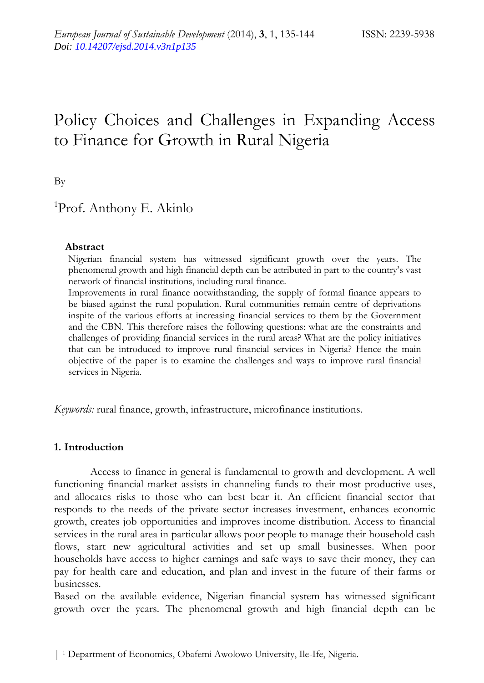# Policy Choices and Challenges in Expanding Access to Finance for Growth in Rural Nigeria

By

# <sup>1</sup>Prof. Anthony E. Akinlo

#### **Abstract**

Nigerian financial system has witnessed significant growth over the years. The phenomenal growth and high financial depth can be attributed in part to the country's vast network of financial institutions, including rural finance.

Improvements in rural finance notwithstanding, the supply of formal finance appears to be biased against the rural population. Rural communities remain centre of deprivations inspite of the various efforts at increasing financial services to them by the Government and the CBN. This therefore raises the following questions: what are the constraints and challenges of providing financial services in the rural areas? What are the policy initiatives that can be introduced to improve rural financial services in Nigeria? Hence the main objective of the paper is to examine the challenges and ways to improve rural financial services in Nigeria.

*Keywords:* rural finance, growth, infrastructure, microfinance institutions.

#### **1. Introduction**

Access to finance in general is fundamental to growth and development. A well functioning financial market assists in channeling funds to their most productive uses, and allocates risks to those who can best bear it. An efficient financial sector that responds to the needs of the private sector increases investment, enhances economic growth, creates job opportunities and improves income distribution. Access to financial services in the rural area in particular allows poor people to manage their household cash flows, start new agricultural activities and set up small businesses. When poor households have access to higher earnings and safe ways to save their money, they can pay for health care and education, and plan and invest in the future of their farms or businesses.

Based on the available evidence, Nigerian financial system has witnessed significant growth over the years. The phenomenal growth and high financial depth can be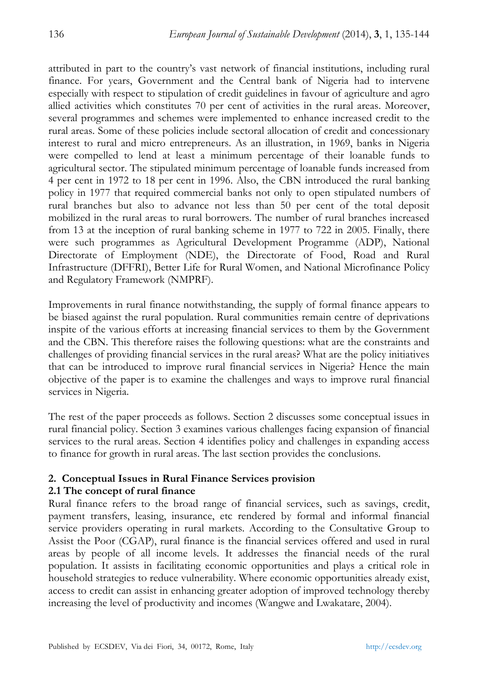attributed in part to the country's vast network of financial institutions, including rural finance. For years, Government and the Central bank of Nigeria had to intervene especially with respect to stipulation of credit guidelines in favour of agriculture and agro allied activities which constitutes 70 per cent of activities in the rural areas. Moreover, several programmes and schemes were implemented to enhance increased credit to the rural areas. Some of these policies include sectoral allocation of credit and concessionary interest to rural and micro entrepreneurs. As an illustration, in 1969, banks in Nigeria were compelled to lend at least a minimum percentage of their loanable funds to agricultural sector. The stipulated minimum percentage of loanable funds increased from 4 per cent in 1972 to 18 per cent in 1996. Also, the CBN introduced the rural banking policy in 1977 that required commercial banks not only to open stipulated numbers of rural branches but also to advance not less than 50 per cent of the total deposit mobilized in the rural areas to rural borrowers. The number of rural branches increased from 13 at the inception of rural banking scheme in 1977 to 722 in 2005. Finally, there were such programmes as Agricultural Development Programme (ADP), National Directorate of Employment (NDE), the Directorate of Food, Road and Rural Infrastructure (DFFRI), Better Life for Rural Women, and National Microfinance Policy and Regulatory Framework (NMPRF).

Improvements in rural finance notwithstanding, the supply of formal finance appears to be biased against the rural population. Rural communities remain centre of deprivations inspite of the various efforts at increasing financial services to them by the Government and the CBN. This therefore raises the following questions: what are the constraints and challenges of providing financial services in the rural areas? What are the policy initiatives that can be introduced to improve rural financial services in Nigeria? Hence the main objective of the paper is to examine the challenges and ways to improve rural financial services in Nigeria.

The rest of the paper proceeds as follows. Section 2 discusses some conceptual issues in rural financial policy. Section 3 examines various challenges facing expansion of financial services to the rural areas. Section 4 identifies policy and challenges in expanding access to finance for growth in rural areas. The last section provides the conclusions.

# **2. Conceptual Issues in Rural Finance Services provision**

# **2.1 The concept of rural finance**

Rural finance refers to the broad range of financial services, such as savings, credit, payment transfers, leasing, insurance, etc rendered by formal and informal financial service providers operating in rural markets. According to the Consultative Group to Assist the Poor (CGAP), rural finance is the financial services offered and used in rural areas by people of all income levels. It addresses the financial needs of the rural population. It assists in facilitating economic opportunities and plays a critical role in household strategies to reduce vulnerability. Where economic opportunities already exist, access to credit can assist in enhancing greater adoption of improved technology thereby increasing the level of productivity and incomes (Wangwe and Lwakatare, 2004).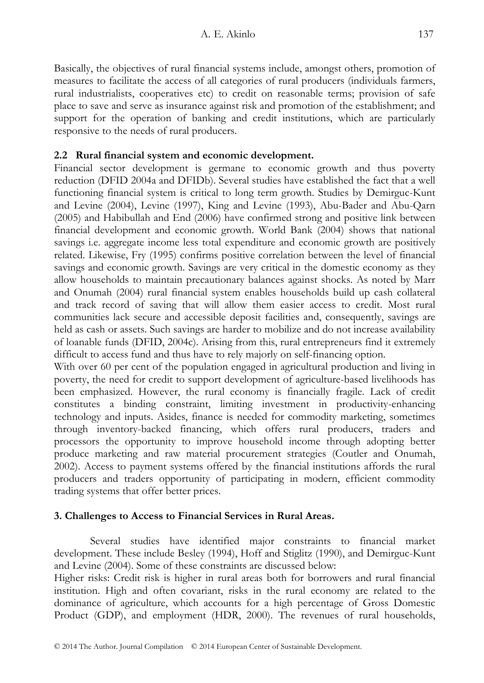Basically, the objectives of rural financial systems include, amongst others, promotion of measures to facilitate the access of all categories of rural producers (individuals farmers, rural industrialists, cooperatives etc) to credit on reasonable terms; provision of safe place to save and serve as insurance against risk and promotion of the establishment; and support for the operation of banking and credit institutions, which are particularly responsive to the needs of rural producers.

# **2.2 Rural financial system and economic development.**

Financial sector development is germane to economic growth and thus poverty reduction (DFID 2004a and DFIDb). Several studies have established the fact that a well functioning financial system is critical to long term growth. Studies by Demirguc-Kunt and Levine (2004), Levine (1997), King and Levine (1993), Abu-Bader and Abu-Qarn (2005) and Habibullah and End (2006) have confirmed strong and positive link between financial development and economic growth. World Bank (2004) shows that national savings i.e. aggregate income less total expenditure and economic growth are positively related. Likewise, Fry (1995) confirms positive correlation between the level of financial savings and economic growth. Savings are very critical in the domestic economy as they allow households to maintain precautionary balances against shocks. As noted by Marr and Onumah (2004) rural financial system enables households build up cash collateral and track record of saving that will allow them easier access to credit. Most rural communities lack secure and accessible deposit facilities and, consequently, savings are held as cash or assets. Such savings are harder to mobilize and do not increase availability of loanable funds (DFID, 2004c). Arising from this, rural entrepreneurs find it extremely difficult to access fund and thus have to rely majorly on self-financing option.

With over 60 per cent of the population engaged in agricultural production and living in poverty, the need for credit to support development of agriculture-based livelihoods has been emphasized. However, the rural economy is financially fragile. Lack of credit constitutes a binding constraint, limiting investment in productivity-enhancing technology and inputs. Asides, finance is needed for commodity marketing, sometimes through inventory-backed financing, which offers rural producers, traders and processors the opportunity to improve household income through adopting better produce marketing and raw material procurement strategies (Coutler and Onumah, 2002). Access to payment systems offered by the financial institutions affords the rural producers and traders opportunity of participating in modern, efficient commodity trading systems that offer better prices.

# **3. Challenges to Access to Financial Services in Rural Areas.**

Several studies have identified major constraints to financial market development. These include Besley (1994), Hoff and Stiglitz (1990), and Demirguc-Kunt and Levine (2004). Some of these constraints are discussed below:

Higher risks: Credit risk is higher in rural areas both for borrowers and rural financial institution. High and often covariant, risks in the rural economy are related to the dominance of agriculture, which accounts for a high percentage of Gross Domestic Product (GDP), and employment (HDR, 2000). The revenues of rural households,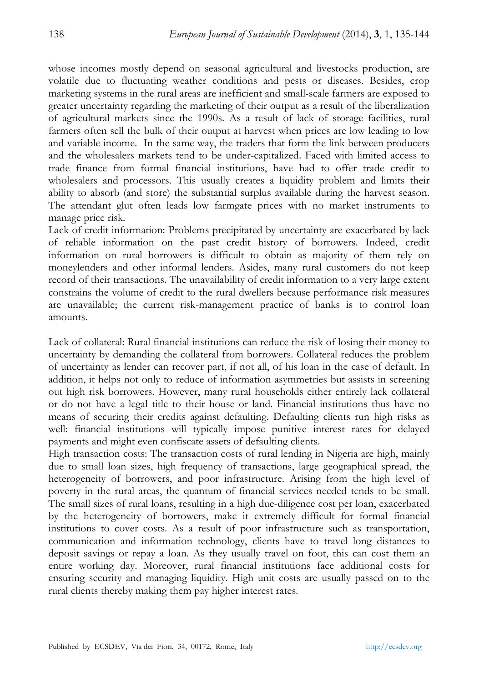whose incomes mostly depend on seasonal agricultural and livestocks production, are volatile due to fluctuating weather conditions and pests or diseases. Besides, crop marketing systems in the rural areas are inefficient and small-scale farmers are exposed to greater uncertainty regarding the marketing of their output as a result of the liberalization of agricultural markets since the 1990s. As a result of lack of storage facilities, rural farmers often sell the bulk of their output at harvest when prices are low leading to low and variable income. In the same way, the traders that form the link between producers and the wholesalers markets tend to be under-capitalized. Faced with limited access to trade finance from formal financial institutions, have had to offer trade credit to wholesalers and processors. This usually creates a liquidity problem and limits their ability to absorb (and store) the substantial surplus available during the harvest season. The attendant glut often leads low farmgate prices with no market instruments to manage price risk.

Lack of credit information: Problems precipitated by uncertainty are exacerbated by lack of reliable information on the past credit history of borrowers. Indeed, credit information on rural borrowers is difficult to obtain as majority of them rely on moneylenders and other informal lenders. Asides, many rural customers do not keep record of their transactions. The unavailability of credit information to a very large extent constrains the volume of credit to the rural dwellers because performance risk measures are unavailable; the current risk-management practice of banks is to control loan amounts.

Lack of collateral: Rural financial institutions can reduce the risk of losing their money to uncertainty by demanding the collateral from borrowers. Collateral reduces the problem of uncertainty as lender can recover part, if not all, of his loan in the case of default. In addition, it helps not only to reduce of information asymmetries but assists in screening out high risk borrowers. However, many rural households either entirely lack collateral or do not have a legal title to their house or land. Financial institutions thus have no means of securing their credits against defaulting. Defaulting clients run high risks as well: financial institutions will typically impose punitive interest rates for delayed payments and might even confiscate assets of defaulting clients.

High transaction costs: The transaction costs of rural lending in Nigeria are high, mainly due to small loan sizes, high frequency of transactions, large geographical spread, the heterogeneity of borrowers, and poor infrastructure. Arising from the high level of poverty in the rural areas, the quantum of financial services needed tends to be small. The small sizes of rural loans, resulting in a high due-diligence cost per loan, exacerbated by the heterogeneity of borrowers, make it extremely difficult for formal financial institutions to cover costs. As a result of poor infrastructure such as transportation, communication and information technology, clients have to travel long distances to deposit savings or repay a loan. As they usually travel on foot, this can cost them an entire working day. Moreover, rural financial institutions face additional costs for ensuring security and managing liquidity. High unit costs are usually passed on to the rural clients thereby making them pay higher interest rates.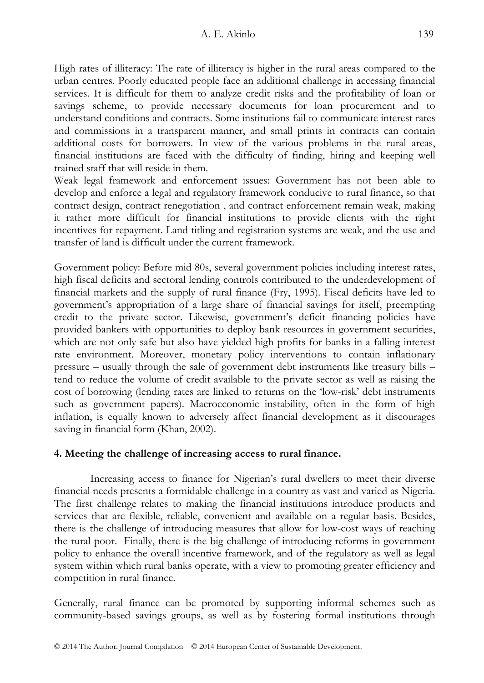High rates of illiteracy: The rate of illiteracy is higher in the rural areas compared to the urban centres. Poorly educated people face an additional challenge in accessing financial services. It is difficult for them to analyze credit risks and the profitability of loan or savings scheme, to provide necessary documents for loan procurement and to understand conditions and contracts. Some institutions fail to communicate interest rates and commissions in a transparent manner, and small prints in contracts can contain additional costs for borrowers. In view of the various problems in the rural areas, financial institutions are faced with the difficulty of finding, hiring and keeping well trained staff that will reside in them.

Weak legal framework and enforcement issues: Government has not been able to develop and enforce a legal and regulatory framework conducive to rural finance, so that contract design, contract renegotiation , and contract enforcement remain weak, making it rather more difficult for financial institutions to provide clients with the right incentives for repayment. Land titling and registration systems are weak, and the use and transfer of land is difficult under the current framework.

Government policy: Before mid 80s, several government policies including interest rates, high fiscal deficits and sectoral lending controls contributed to the underdevelopment of financial markets and the supply of rural finance (Fry, 1995). Fiscal deficits have led to government's appropriation of a large share of financial savings for itself, preempting credit to the private sector. Likewise, government's deficit financing policies have provided bankers with opportunities to deploy bank resources in government securities, which are not only safe but also have yielded high profits for banks in a falling interest rate environment. Moreover, monetary policy interventions to contain inflationary pressure – usually through the sale of government debt instruments like treasury bills – tend to reduce the volume of credit available to the private sector as well as raising the cost of borrowing (lending rates are linked to returns on the 'low-risk' debt instruments such as government papers). Macroeconomic instability, often in the form of high inflation, is equally known to adversely affect financial development as it discourages saving in financial form (Khan, 2002).

# **4. Meeting the challenge of increasing access to rural finance.**

Increasing access to finance for Nigerian's rural dwellers to meet their diverse financial needs presents a formidable challenge in a country as vast and varied as Nigeria. The first challenge relates to making the financial institutions introduce products and services that are flexible, reliable, convenient and available on a regular basis. Besides, there is the challenge of introducing measures that allow for low-cost ways of reaching the rural poor. Finally, there is the big challenge of introducing reforms in government policy to enhance the overall incentive framework, and of the regulatory as well as legal system within which rural banks operate, with a view to promoting greater efficiency and competition in rural finance.

Generally, rural finance can be promoted by supporting informal schemes such as community-based savings groups, as well as by fostering formal institutions through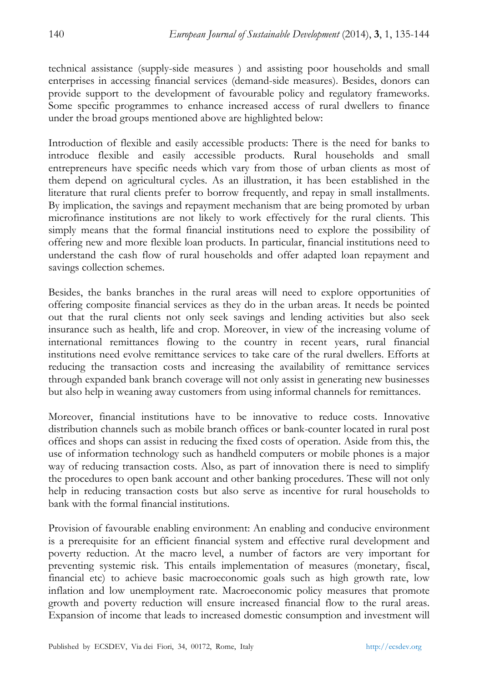technical assistance (supply-side measures ) and assisting poor households and small enterprises in accessing financial services (demand-side measures). Besides, donors can provide support to the development of favourable policy and regulatory frameworks. Some specific programmes to enhance increased access of rural dwellers to finance under the broad groups mentioned above are highlighted below:

Introduction of flexible and easily accessible products: There is the need for banks to introduce flexible and easily accessible products. Rural households and small entrepreneurs have specific needs which vary from those of urban clients as most of them depend on agricultural cycles. As an illustration, it has been established in the literature that rural clients prefer to borrow frequently, and repay in small installments. By implication, the savings and repayment mechanism that are being promoted by urban microfinance institutions are not likely to work effectively for the rural clients. This simply means that the formal financial institutions need to explore the possibility of offering new and more flexible loan products. In particular, financial institutions need to understand the cash flow of rural households and offer adapted loan repayment and savings collection schemes.

Besides, the banks branches in the rural areas will need to explore opportunities of offering composite financial services as they do in the urban areas. It needs be pointed out that the rural clients not only seek savings and lending activities but also seek insurance such as health, life and crop. Moreover, in view of the increasing volume of international remittances flowing to the country in recent years, rural financial institutions need evolve remittance services to take care of the rural dwellers. Efforts at reducing the transaction costs and increasing the availability of remittance services through expanded bank branch coverage will not only assist in generating new businesses but also help in weaning away customers from using informal channels for remittances.

Moreover, financial institutions have to be innovative to reduce costs. Innovative distribution channels such as mobile branch offices or bank-counter located in rural post offices and shops can assist in reducing the fixed costs of operation. Aside from this, the use of information technology such as handheld computers or mobile phones is a major way of reducing transaction costs. Also, as part of innovation there is need to simplify the procedures to open bank account and other banking procedures. These will not only help in reducing transaction costs but also serve as incentive for rural households to bank with the formal financial institutions.

Provision of favourable enabling environment: An enabling and conducive environment is a prerequisite for an efficient financial system and effective rural development and poverty reduction. At the macro level, a number of factors are very important for preventing systemic risk. This entails implementation of measures (monetary, fiscal, financial etc) to achieve basic macroeconomic goals such as high growth rate, low inflation and low unemployment rate. Macroeconomic policy measures that promote growth and poverty reduction will ensure increased financial flow to the rural areas. Expansion of income that leads to increased domestic consumption and investment will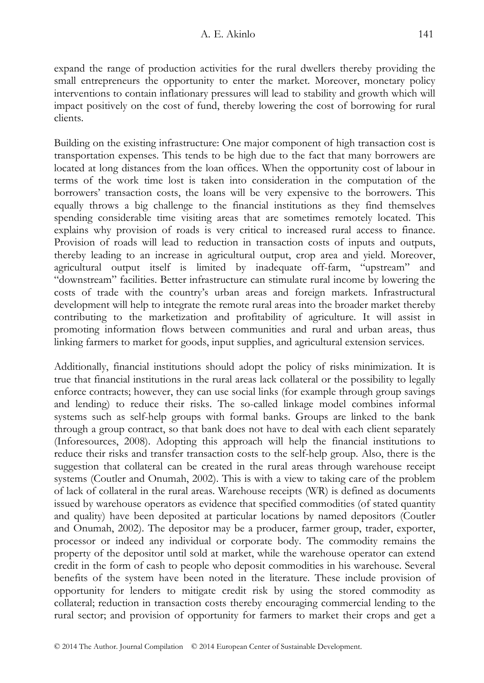expand the range of production activities for the rural dwellers thereby providing the small entrepreneurs the opportunity to enter the market. Moreover, monetary policy interventions to contain inflationary pressures will lead to stability and growth which will impact positively on the cost of fund, thereby lowering the cost of borrowing for rural clients.

Building on the existing infrastructure: One major component of high transaction cost is transportation expenses. This tends to be high due to the fact that many borrowers are located at long distances from the loan offices. When the opportunity cost of labour in terms of the work time lost is taken into consideration in the computation of the borrowers' transaction costs, the loans will be very expensive to the borrowers. This equally throws a big challenge to the financial institutions as they find themselves spending considerable time visiting areas that are sometimes remotely located. This explains why provision of roads is very critical to increased rural access to finance. Provision of roads will lead to reduction in transaction costs of inputs and outputs, thereby leading to an increase in agricultural output, crop area and yield. Moreover, agricultural output itself is limited by inadequate off-farm, "upstream" and "downstream" facilities. Better infrastructure can stimulate rural income by lowering the costs of trade with the country's urban areas and foreign markets. Infrastructural development will help to integrate the remote rural areas into the broader market thereby contributing to the marketization and profitability of agriculture. It will assist in promoting information flows between communities and rural and urban areas, thus linking farmers to market for goods, input supplies, and agricultural extension services.

Additionally, financial institutions should adopt the policy of risks minimization. It is true that financial institutions in the rural areas lack collateral or the possibility to legally enforce contracts; however, they can use social links (for example through group savings and lending) to reduce their risks. The so-called linkage model combines informal systems such as self-help groups with formal banks. Groups are linked to the bank through a group contract, so that bank does not have to deal with each client separately (Inforesources, 2008). Adopting this approach will help the financial institutions to reduce their risks and transfer transaction costs to the self-help group. Also, there is the suggestion that collateral can be created in the rural areas through warehouse receipt systems (Coutler and Onumah, 2002). This is with a view to taking care of the problem of lack of collateral in the rural areas. Warehouse receipts (WR) is defined as documents issued by warehouse operators as evidence that specified commodities (of stated quantity and quality) have been deposited at particular locations by named depositors (Coutler and Onumah, 2002). The depositor may be a producer, farmer group, trader, exporter, processor or indeed any individual or corporate body. The commodity remains the property of the depositor until sold at market, while the warehouse operator can extend credit in the form of cash to people who deposit commodities in his warehouse. Several benefits of the system have been noted in the literature. These include provision of opportunity for lenders to mitigate credit risk by using the stored commodity as collateral; reduction in transaction costs thereby encouraging commercial lending to the rural sector; and provision of opportunity for farmers to market their crops and get a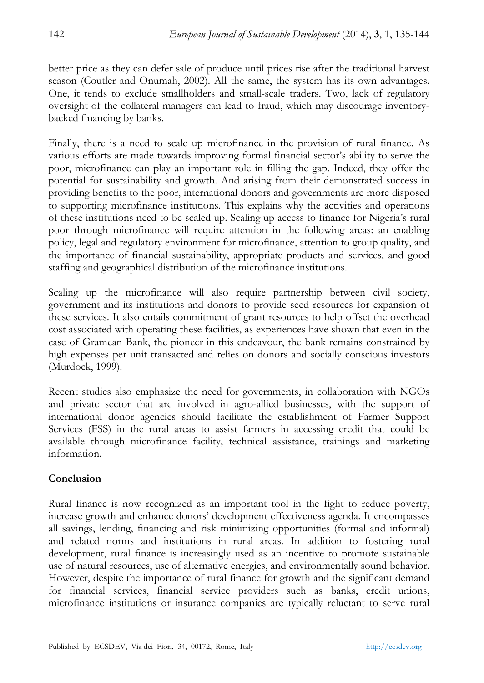better price as they can defer sale of produce until prices rise after the traditional harvest season (Coutler and Onumah, 2002). All the same, the system has its own advantages. One, it tends to exclude smallholders and small-scale traders. Two, lack of regulatory oversight of the collateral managers can lead to fraud, which may discourage inventorybacked financing by banks.

Finally, there is a need to scale up microfinance in the provision of rural finance. As various efforts are made towards improving formal financial sector's ability to serve the poor, microfinance can play an important role in filling the gap. Indeed, they offer the potential for sustainability and growth. And arising from their demonstrated success in providing benefits to the poor, international donors and governments are more disposed to supporting microfinance institutions. This explains why the activities and operations of these institutions need to be scaled up. Scaling up access to finance for Nigeria's rural poor through microfinance will require attention in the following areas: an enabling policy, legal and regulatory environment for microfinance, attention to group quality, and the importance of financial sustainability, appropriate products and services, and good staffing and geographical distribution of the microfinance institutions.

Scaling up the microfinance will also require partnership between civil society, government and its institutions and donors to provide seed resources for expansion of these services. It also entails commitment of grant resources to help offset the overhead cost associated with operating these facilities, as experiences have shown that even in the case of Gramean Bank, the pioneer in this endeavour, the bank remains constrained by high expenses per unit transacted and relies on donors and socially conscious investors (Murdock, 1999).

Recent studies also emphasize the need for governments, in collaboration with NGOs and private sector that are involved in agro-allied businesses, with the support of international donor agencies should facilitate the establishment of Farmer Support Services (FSS) in the rural areas to assist farmers in accessing credit that could be available through microfinance facility, technical assistance, trainings and marketing information.

# **Conclusion**

Rural finance is now recognized as an important tool in the fight to reduce poverty, increase growth and enhance donors' development effectiveness agenda. It encompasses all savings, lending, financing and risk minimizing opportunities (formal and informal) and related norms and institutions in rural areas. In addition to fostering rural development, rural finance is increasingly used as an incentive to promote sustainable use of natural resources, use of alternative energies, and environmentally sound behavior. However, despite the importance of rural finance for growth and the significant demand for financial services, financial service providers such as banks, credit unions, microfinance institutions or insurance companies are typically reluctant to serve rural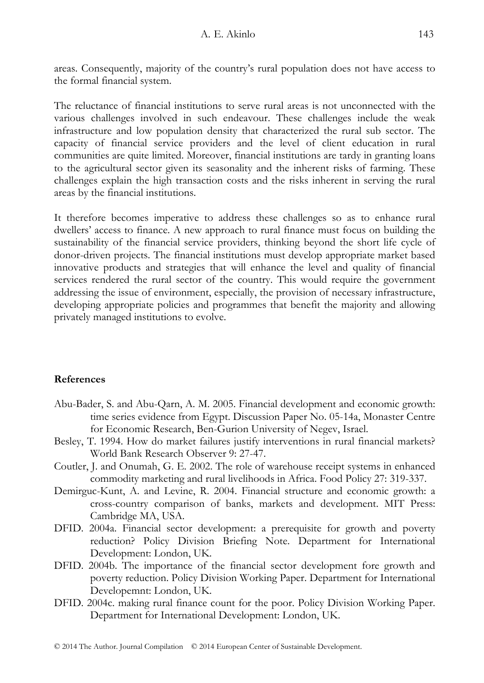areas. Consequently, majority of the country's rural population does not have access to the formal financial system.

The reluctance of financial institutions to serve rural areas is not unconnected with the various challenges involved in such endeavour. These challenges include the weak infrastructure and low population density that characterized the rural sub sector. The capacity of financial service providers and the level of client education in rural communities are quite limited. Moreover, financial institutions are tardy in granting loans to the agricultural sector given its seasonality and the inherent risks of farming. These challenges explain the high transaction costs and the risks inherent in serving the rural areas by the financial institutions.

It therefore becomes imperative to address these challenges so as to enhance rural dwellers' access to finance. A new approach to rural finance must focus on building the sustainability of the financial service providers, thinking beyond the short life cycle of donor-driven projects. The financial institutions must develop appropriate market based innovative products and strategies that will enhance the level and quality of financial services rendered the rural sector of the country. This would require the government addressing the issue of environment, especially, the provision of necessary infrastructure, developing appropriate policies and programmes that benefit the majority and allowing privately managed institutions to evolve.

# **References**

- Abu-Bader, S. and Abu-Qarn, A. M. 2005. Financial development and economic growth: time series evidence from Egypt. Discussion Paper No. 05-14a, Monaster Centre for Economic Research, Ben-Gurion University of Negev, Israel.
- Besley, T. 1994. How do market failures justify interventions in rural financial markets? World Bank Research Observer 9: 27-47.
- Coutler, J. and Onumah, G. E. 2002. The role of warehouse receipt systems in enhanced commodity marketing and rural livelihoods in Africa. Food Policy 27: 319-337.
- Demirguc-Kunt, A. and Levine, R. 2004. Financial structure and economic growth: a cross-country comparison of banks, markets and development. MIT Press: Cambridge MA, USA.
- DFID. 2004a. Financial sector development: a prerequisite for growth and poverty reduction? Policy Division Briefing Note. Department for International Development: London, UK.
- DFID. 2004b. The importance of the financial sector development fore growth and poverty reduction. Policy Division Working Paper. Department for International Developemnt: London, UK.
- DFID. 2004c. making rural finance count for the poor. Policy Division Working Paper. Department for International Development: London, UK.